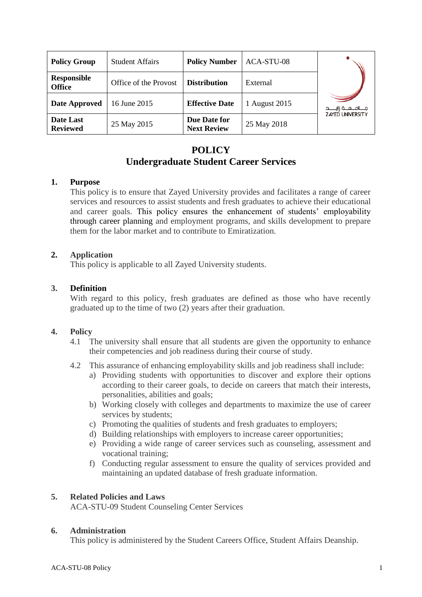| <b>Policy Group</b>                 | <b>Student Affairs</b> | <b>Policy Number</b>               | ACA-STU-08    |                           |
|-------------------------------------|------------------------|------------------------------------|---------------|---------------------------|
| <b>Responsible</b><br><b>Office</b> | Office of the Provost  | <b>Distribution</b>                | External      |                           |
| Date Approved                       | 16 June 2015           | <b>Effective Date</b>              | 1 August 2015 | مــــامـــعـــة زايـــــد |
| Date Last<br><b>Reviewed</b>        | 25 May 2015            | Due Date for<br><b>Next Review</b> | 25 May 2018   | <b>ZAYED UNIVERSITY</b>   |

# **POLICY Undergraduate Student Career Services**

## **1. Purpose**

This policy is to ensure that Zayed University provides and facilitates a range of career services and resources to assist students and fresh graduates to achieve their educational and career goals. This policy ensures the enhancement of students' employability through career planning and employment programs, and skills development to prepare them for the labor market and to contribute to Emiratization.

## **2. Application**

This policy is applicable to all Zayed University students.

## **3. Definition**

With regard to this policy, fresh graduates are defined as those who have recently graduated up to the time of two (2) years after their graduation.

#### **4. Policy**

- 4.1 The university shall ensure that all students are given the opportunity to enhance their competencies and job readiness during their course of study.
- 4.2 This assurance of enhancing employability skills and job readiness shall include:
	- a) Providing students with opportunities to discover and explore their options according to their career goals, to decide on careers that match their interests, personalities, abilities and goals;
	- b) Working closely with colleges and departments to maximize the use of career services by students;
	- c) Promoting the qualities of students and fresh graduates to employers;
	- d) Building relationships with employers to increase career opportunities;
	- e) Providing a wide range of career services such as counseling, assessment and vocational training;
	- f) Conducting regular assessment to ensure the quality of services provided and maintaining an updated database of fresh graduate information.

## **5. Related Policies and Laws**

ACA-STU-09 Student Counseling Center Services

#### **6. Administration**

This policy is administered by the Student Careers Office, Student Affairs Deanship.